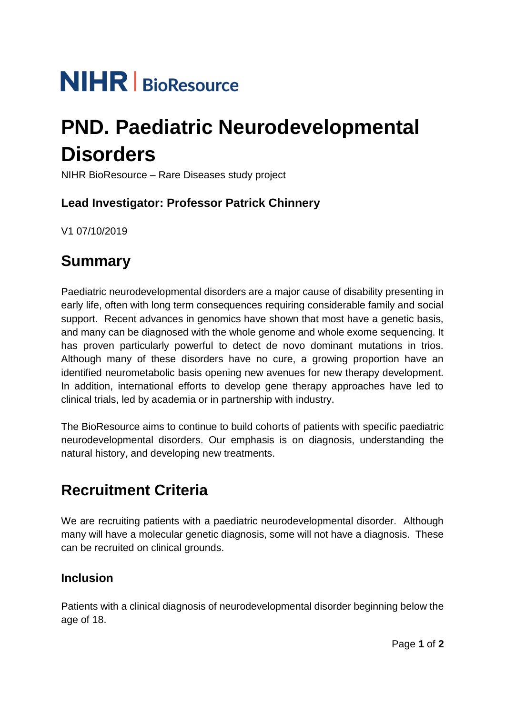# **NIHR** BioResource

## **PND. Paediatric Neurodevelopmental Disorders**

NIHR BioResource – Rare Diseases study project

### **Lead Investigator: Professor Patrick Chinnery**

V1 07/10/2019

## **Summary**

Paediatric neurodevelopmental disorders are a major cause of disability presenting in early life, often with long term consequences requiring considerable family and social support. Recent advances in genomics have shown that most have a genetic basis, and many can be diagnosed with the whole genome and whole exome sequencing. It has proven particularly powerful to detect de novo dominant mutations in trios. Although many of these disorders have no cure, a growing proportion have an identified neurometabolic basis opening new avenues for new therapy development. In addition, international efforts to develop gene therapy approaches have led to clinical trials, led by academia or in partnership with industry.

The BioResource aims to continue to build cohorts of patients with specific paediatric neurodevelopmental disorders. Our emphasis is on diagnosis, understanding the natural history, and developing new treatments.

## **Recruitment Criteria**

We are recruiting patients with a paediatric neurodevelopmental disorder. Although many will have a molecular genetic diagnosis, some will not have a diagnosis. These can be recruited on clinical grounds.

#### **Inclusion**

Patients with a clinical diagnosis of neurodevelopmental disorder beginning below the age of 18.